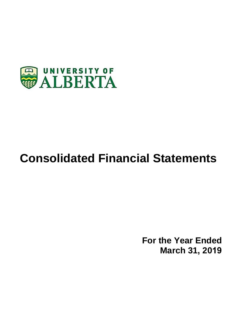

# **Consolidated Financial Statements**

**For the Year Ended March 31, 2019**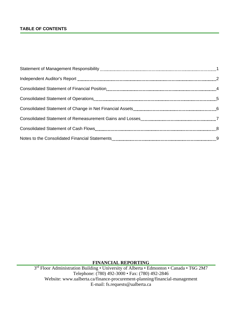# **TABLE OF CONTENTS**

# **FINANCIAL REPORTING**

3rd Floor Administration Building • University of Alberta • Edmonton • Canada • T6G 2M7 Telephone: (780) 492-3000 • Fax: (780) 492-2846 Website: www.ualberta.ca/finance-procurement-planning/financial-management E-mail: fs.requests@ualberta.ca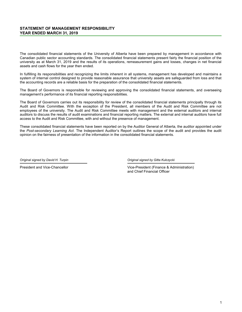# **STATEMENT OF MANAGEMENT RESPONSIBILITY YEAR ENDED MARCH 31, 2019**

The consolidated financial statements of the University of Alberta have been prepared by management in accordance with Canadian public sector accounting standards. The consolidated financial statements present fairly the financial position of the university as at March 31, 2019 and the results of its operations, remeasurement gains and losses, changes in net financial assets and cash flows for the year then ended.

In fulfilling its responsibilities and recognizing the limits inherent in all systems, management has developed and maintains a system of internal control designed to provide reasonable assurance that university assets are safeguarded from loss and that the accounting records are a reliable basis for the preparation of the consolidated financial statements.

The Board of Governors is responsible for reviewing and approving the consolidated financial statements, and overseeing management's performance of its financial reporting responsibilities.

The Board of Governors carries out its responsibility for review of the consolidated financial statements principally through its Audit and Risk Committee. With the exception of the President, all members of the Audit and Risk Committee are not employees of the university. The Audit and Risk Committee meets with management and the external auditors and internal auditors to discuss the results of audit examinations and financial reporting matters. The external and internal auditors have full access to the Audit and Risk Committee, with and without the presence of management.

These consolidated financial statements have been reported on by the Auditor General of Alberta, the auditor appointed under the *Post-secondary Learning Act*. The Independent Auditor's Report outlines the scope of the audit and provides the audit opinion on the fairness of presentation of the information in the consolidated financial statements.

*Original signed by David H. Turpin Original signed by Gitta Kulczycki*

President and Vice-Chancellor **Vice-President (Finance & Administration)** Vice-President (Finance & Administration) and Chief Financial Officer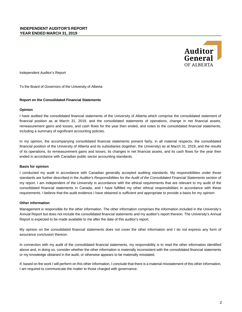

Independent Auditor's Report

To the Board of Governors of the University of Alberta

# **Report on the Consolidated Financial Statements**

### **Opinion**

I have audited the consolidated financial statements of the University of Alberta which comprise the consolidated statement of financial position as at March 31, 2019, and the consolidated statements of operations, change in net financial assets, remeasurement gains and losses, and cash flows for the year then ended, and notes to the consolidated financial statements, including a summary of significant accounting policies.

In my opinion, the accompanying consolidated financial statements present fairly, in all material respects, the consolidated financial position of the University of Alberta and its subsidiaries (together, the University) as at March 31, 2019, and the results of its operations, its remeasurement gains and losses, its changes in net financial assets, and its cash flows for the year then ended in accordance with Canadian public sector accounting standards.

# **Basis for opinion**

I conducted my audit in accordance with Canadian generally accepted auditing standards. My responsibilities under those standards are further described in the Auditor's Responsibilities for the Audit of the Consolidated Financial Statements section of my report. I am independent of the University in accordance with the ethical requirements that are relevant to my audit of the consolidated financial statements in Canada, and I have fulfilled my other ethical responsibilities in accordance with these requirements. I believe that the audit evidence I have obtained is sufficient and appropriate to provide a basis for my opinion.

#### **Other information**

Management is responsible for the other information. The other information comprises the information included in the University's Annual Report but does not include the consolidated financial statements and my auditor's report thereon. The University's Annual Report is expected to be made available to me after the date of this auditor's report.

My opinion on the consolidated financial statements does not cover the other information and I do not express any form of assurance conclusion thereon.

In connection with my audit of the consolidated financial statements, my responsibility is to read the other information identified above and, in doing so, consider whether the other information is materially inconsistent with the consolidated financial statements or my knowledge obtained in the audit, or otherwise appears to be materially misstated.

If, based on the work I will perform on this other information, I conclude that there is a material misstatement of this other information, I am required to communicate the matter to those charged with governance.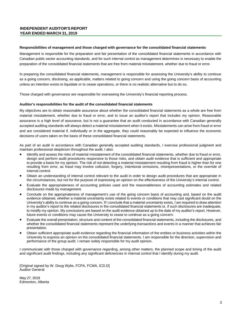# **INDEPENDENT AUDITOR'S REPORT YEAR ENDED MARCH 31, 2019**

# **Responsibilities of management and those charged with governance for the consolidated financial statements**

Management is responsible for the preparation and fair presentation of the consolidated financial statements in accordance with Canadian public sector accounting standards, and for such internal control as management determines is necessary to enable the preparation of the consolidated financial statements that are free from material misstatement, whether due to fraud or error.

In preparing the consolidated financial statements, management is responsible for assessing the University's ability to continue as a going concern, disclosing, as applicable, matters related to going concern and using the going concern basis of accounting unless an intention exists to liquidate or to cease operations, or there is no realistic alternative but to do so.

Those charged with governance are responsible for overseeing the University's financial reporting process.

# **Auditor's responsibilities for the audit of the consolidated financial statements**

My objectives are to obtain reasonable assurance about whether the consolidated financial statements as a whole are free from material misstatement, whether due to fraud or error, and to issue an auditor's report that includes my opinion. Reasonable assurance is a high level of assurance, but is not a guarantee that an audit conducted in accordance with Canadian generally accepted auditing standards will always detect a material misstatement when it exists. Misstatements can arise from fraud or error and are considered material if, individually or in the aggregate, they could reasonably be expected to influence the economic decisions of users taken on the basis of these consolidated financial statements.

As part of an audit in accordance with Canadian generally accepted auditing standards, I exercise professional judgment and maintain professional skepticism throughout the audit. I also:

- Identify and assess the risks of material misstatement of the consolidated financial statements, whether due to fraud or error, design and perform audit procedures responsive to those risks, and obtain audit evidence that is sufficient and appropriate to provide a basis for my opinion. The risk of not detecting a material misstatement resulting from fraud is higher than for one resulting from error, as fraud may involve collusion, forgery, intentional omissions, misrepresentations, or the override of internal control.
- Obtain an understanding of internal control relevant to the audit in order to design audit procedures that are appropriate in the circumstances, but not for the purpose of expressing an opinion on the effectiveness of the University's internal control.
- Evaluate the appropriateness of accounting policies used and the reasonableness of accounting estimates and related disclosures made by management.
- Conclude on the appropriateness of management's use of the going concern basis of accounting and, based on the audit evidence obtained, whether a material uncertainty exists related to events or conditions that may cast significant doubt on the University's ability to continue as a going concern. If I conclude that a material uncertainty exists, I am required to draw attention in my auditor's report to the related disclosures in the consolidated financial statements or, if such disclosures are inadequate, to modify my opinion. My conclusions are based on the audit evidence obtained up to the date of my auditor's report. However, future events or conditions may cause the University to cease to continue as a going concern.
- Evaluate the overall presentation, structure and content of the consolidated financial statements, including the disclosures, and whether the consolidated financial statements represent the underlying transactions and events in a manner that achieves fair presentation.
- Obtain sufficient appropriate audit evidence regarding the financial information of the entities or business activities within the University to express an opinion on the consolidated financial statements. I am responsible for the direction, supervision and performance of the group audit. I remain solely responsible for my audit opinion.

I communicate with those charged with governance regarding, among other matters, the planned scope and timing of the audit and significant audit findings, including any significant deficiencies in internal control that I identify during my audit.

[Original signed by W. Doug Wylie, FCPA, FCMA, ICD.D] Auditor General

May 27, 2019 Edmonton, Alberta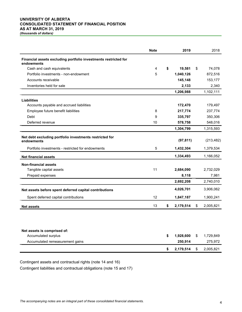# **UNIVERSITY OF ALBERTA CONSOLIDATED STATEMENT OF FINANCIAL POSITION AS AT MARCH 31, 2019**

*(thousands of dollars)*

|                                                                                       | <b>Note</b> | 2019                       | 2018                       |
|---------------------------------------------------------------------------------------|-------------|----------------------------|----------------------------|
| Financial assets excluding portfolio investments restricted for<br>endowments         |             |                            |                            |
| Cash and cash equivalents                                                             | 4           | \$<br>19,581               | \$<br>74,078               |
| Portfolio investments - non-endowment                                                 | 5           | 1,040,126                  | 872,516                    |
| Accounts receivable                                                                   |             | 145,148                    | 153,177                    |
| Inventories held for sale                                                             |             | 2,133                      | 2,340                      |
|                                                                                       |             | 1,206,988                  | 1,102,111                  |
| <b>Liabilities</b>                                                                    |             |                            |                            |
| Accounts payable and accrued liabilities                                              |             | 172,470                    | 179,497                    |
| Employee future benefit liabilities                                                   | 8           | 217,774                    | 237,774                    |
| Debt                                                                                  | 9           | 335,797                    | 350,306                    |
| Deferred revenue                                                                      | 10          | 578,758                    | 548,016                    |
|                                                                                       |             | 1,304,799                  | 1,315,593                  |
| Net debt excluding portfolio investments restricted for<br>endowments                 |             | (97, 811)                  | (213, 482)                 |
| Portfolio investments - restricted for endowments                                     | 5           | 1,432,304                  | 1,379,534                  |
| <b>Net financial assets</b>                                                           |             | 1,334,493                  | 1,166,052                  |
| <b>Non-financial assets</b>                                                           |             |                            |                            |
| Tangible capital assets                                                               | 11          | 2,684,090                  | 2,732,029                  |
| Prepaid expenses                                                                      |             | 8,118                      | 7,981                      |
|                                                                                       |             | 2,692,208                  | 2,740,010                  |
| Net assets before spent deferred capital contributions                                |             | 4,026,701                  | 3,906,062                  |
| Spent deferred capital contributions                                                  | 12          | 1,847,187                  | 1,900,241                  |
| <b>Net assets</b>                                                                     | 13          | \$<br>2,179,514            | \$<br>2,005,821            |
| Net assets is comprised of:<br>Accumulated surplus<br>Accumulated remeasurement gains |             | \$<br>1,928,600<br>250,914 | \$<br>1,729,849<br>275,972 |
|                                                                                       |             |                            |                            |
|                                                                                       |             | \$<br>2,179,514            | \$<br>2,005,821            |

Contingent assets and contractual rights (note 14 and 16)

Contingent liabilities and contractual obligations (note 15 and 17)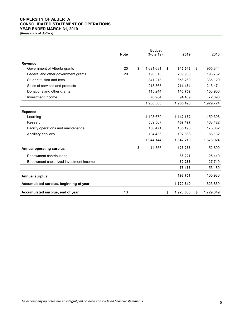# **UNIVERSITY OF ALBERTA CONSOLIDATED STATEMENT OF OPERATIONS YEAR ENDED MARCH 31, 2019**

|                                         | <b>Note</b> | <b>Budget</b><br>(Note 19) |           |    |           | 2018            |
|-----------------------------------------|-------------|----------------------------|-----------|----|-----------|-----------------|
| <b>Revenue</b>                          |             |                            |           |    |           |                 |
| Government of Alberta grants            | 20          | \$                         | 1,021,681 | \$ | 946,643   | \$<br>955,344   |
| Federal and other government grants     | 20          |                            | 190,510   |    | 209,900   | 196,782         |
| Student tuition and fees                |             |                            | 341,218   |    | 353,280   | 336,129         |
| Sales of services and products          |             |                            | 218,863   |    | 214,434   | 215,471         |
| Donations and other grants              |             |                            | 115,244   |    | 146,752   | 153,900         |
| Investment income                       |             |                            | 70,984    |    | 94,489    | 72,098          |
|                                         |             |                            | 1,958,500 |    | 1,965,498 | 1,929,724       |
| <b>Expense</b>                          |             |                            |           |    |           |                 |
| Learning                                |             |                            | 1,193,670 |    | 1,142,132 | 1,150,308       |
| Research                                |             |                            | 509,567   |    | 462,497   | 463,422         |
| Facility operations and maintenance     |             |                            | 136,471   |    | 135,198   | 175,062         |
| Ancillary services                      |             |                            | 104.436   |    | 102,383   | 88,132          |
|                                         |             |                            | 1,944,144 |    | 1,842,210 | 1,876,924       |
| <b>Annual operating surplus</b>         |             | \$                         | 14,356    |    | 123,288   | 52,800          |
| Endowment contributions                 |             |                            |           |    | 36,227    | 25,440          |
| Endowment capitalized investment income |             |                            |           |    | 39,236    | 27,740          |
|                                         |             |                            |           |    | 75,463    | 53,180          |
| <b>Annual surplus</b>                   |             |                            |           |    | 198,751   | 105,980         |
| Accumulated surplus, beginning of year  |             |                            |           |    | 1,729,849 | 1,623,869       |
| Accumulated surplus, end of year        | 13          |                            |           | \$ | 1,928,600 | \$<br>1,729,849 |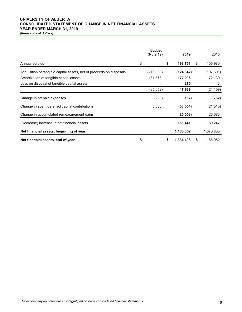# **UNIVERSITY OF ALBERTA CONSOLIDATED STATEMENT OF CHANGE IN NET FINANCIAL ASSETS YEAR ENDED MARCH 31, 2019**

|                                                                      | <b>Budget</b><br>(Note 19) | 2019            |    | 2018       |
|----------------------------------------------------------------------|----------------------------|-----------------|----|------------|
| Annual surplus                                                       | \$                         | \$<br>198,751   | \$ | 105,980    |
| Acquisition of tangible capital assets, net of proceeds on disposals | (216,930)                  | (124, 342)      |    | (197, 691) |
| Amortization of tangible capital assets                              | 181,878                    | 172,006         |    | 172,139    |
| Loss on disposal of tangible capital assets                          |                            | 275             |    | 4,443      |
|                                                                      | (35,052)                   | 47,939          |    | (21,109)   |
| Change in prepaid expenses                                           | (200)                      | (137)           |    | (782)      |
| Change in spent deferred capital contributions                       | 5,586                      | (53, 054)       |    | (21, 515)  |
| Change in accumulated remeasurement gains                            |                            | (25,058)        |    | 26,673     |
| (Decrease) increase in net financial assets                          |                            | 168,441         |    | 89,247     |
| Net financial assets, beginning of year                              |                            | 1,166,052       |    | 1,076,805  |
| Net financial assets, end of year                                    | \$                         | \$<br>1,334,493 | S  | 1,166,052  |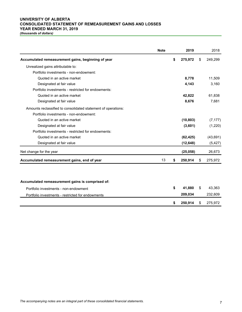# **UNIVERSITY OF ALBERTA CONSOLIDATED STATEMENT OF REMEASUREMENT GAINS AND LOSSES YEAR ENDED MARCH 31, 2019**

|                                                               | <b>Note</b> | 2019          | 2018          |
|---------------------------------------------------------------|-------------|---------------|---------------|
| Accumulated remeasurement gains, beginning of year            |             | \$<br>275,972 | \$<br>249,299 |
| Unrealized gains attributable to:                             |             |               |               |
| Portfolio investments - non-endowment:                        |             |               |               |
| Quoted in an active market                                    |             | 8,778         | 11,509        |
| Designated at fair value                                      |             | 4,143         | 3,160         |
| Portfolio investments - restricted for endowments:            |             |               |               |
| Quoted in an active market                                    |             | 42,822        | 61,838        |
| Designated at fair value                                      |             | 8,676         | 7,681         |
| Amounts reclassified to consolidated statement of operations: |             |               |               |
| Portfolio investments - non-endowment:                        |             |               |               |
| Quoted in an active market                                    |             | (10, 803)     | (7, 177)      |
| Designated at fair value                                      |             | (3,601)       | (1,220)       |
| Portfolio investments - restricted for endowments:            |             |               |               |
| Quoted in an active market                                    |             | (62, 425)     | (43, 691)     |
| Designated at fair value                                      |             | (12, 648)     | (5, 427)      |
| Net change for the year                                       |             | (25,058)      | 26,673        |
| Accumulated remeasurement gains, end of year                  | 13          | \$<br>250,914 | \$<br>275,972 |
|                                                               |             |               |               |
| Accumulated remeasurement gains is comprised of:              |             |               |               |
| Portfolio investments - non-endowment                         |             | \$<br>41,880  | \$<br>43,363  |
| Portfolio investments - restricted for endowments             |             | 209,034       | 232,609       |
|                                                               |             | \$<br>250,914 | \$<br>275,972 |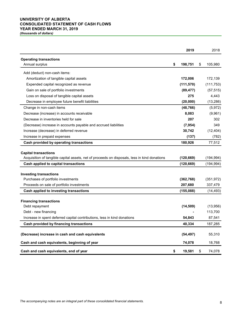# **UNIVERSITY OF ALBERTA CONSOLIDATED STATEMENT OF CASH FLOWS YEAR ENDED MARCH 31, 2019**

|                                                                                                                                                                     | 2019                     | 2018                     |
|---------------------------------------------------------------------------------------------------------------------------------------------------------------------|--------------------------|--------------------------|
| <b>Operating transactions</b><br>Annual surplus                                                                                                                     | \$<br>198,751            | \$<br>105,980            |
| Add (deduct) non-cash items:                                                                                                                                        |                          |                          |
| Amortization of tangible capital assets                                                                                                                             | 172,006                  | 172,139                  |
| Expended capital recognized as revenue                                                                                                                              | (111, 570)               | (111, 753)               |
| Gain on sale of portfolio investments                                                                                                                               | (89, 477)                | (57, 515)                |
| Loss on disposal of tangible capital assets                                                                                                                         | 275                      | 4,443                    |
| Decrease in employee future benefit liabilities                                                                                                                     | (20,000)                 | (13, 286)                |
| Change in non-cash items                                                                                                                                            | (48, 766)                | (5, 972)                 |
| Decrease (increase) in accounts receivable                                                                                                                          | 8,083                    | (9,961)                  |
| Decrease in inventories held for sale                                                                                                                               | 207                      | 302                      |
| (Decrease) increase in accounts payable and accrued liabilities                                                                                                     | (7, 954)                 | 349                      |
| Increase (decrease) in deferred revenue                                                                                                                             | 30,742                   | (12, 404)                |
| Increase in prepaid expenses                                                                                                                                        | (137)                    | (782)                    |
| Cash provided by operating transactions                                                                                                                             | 180,926                  | 77,512                   |
| <b>Capital transactions</b><br>Acquisition of tangible capital assets, net of proceeds on disposals, less in kind donations<br>Cash applied to capital transactions | (120, 669)<br>(120, 669) | (194, 994)<br>(194, 994) |
|                                                                                                                                                                     |                          |                          |
| <b>Investing transactions</b>                                                                                                                                       |                          |                          |
| Purchases of portfolio investments                                                                                                                                  | (362, 768)               | (351, 972)               |
| Proceeds on sale of portfolio investments                                                                                                                           | 207,680                  | 337,479                  |
| Cash applied to investing transactions                                                                                                                              | (155,088)                | (14, 493)                |
| <b>Financing transactions</b>                                                                                                                                       |                          |                          |
| Debt repayment                                                                                                                                                      | (14, 509)                | (13,956)                 |
| Debt - new financing                                                                                                                                                |                          | 113,700                  |
| Increase in spent deferred capital contributions, less in kind donations                                                                                            | 54,843                   | 87,541                   |
| Cash provided by financing transactions                                                                                                                             | 40,334                   | 187,285                  |
| (Decrease) increase in cash and cash equivalents                                                                                                                    | (54, 497)                | 55,310                   |
| Cash and cash equivalents, beginning of year                                                                                                                        | 74,078                   | 18,768                   |
| Cash and cash equivalents, end of year                                                                                                                              | \$<br>19,581             | \$<br>74,078             |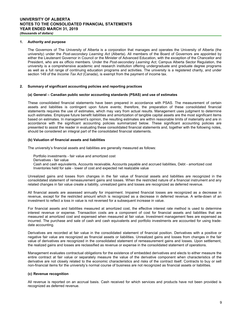### **1. Authority and purpose**

The Governors of The University of Alberta is a corporation that manages and operates the University of Alberta (the university) under the *Post-secondary Learning Act* (Alberta). All members of the Board of Governors are appointed by either the Lieutenant Governor in Council or the Minister of Advanced Education, with the exception of the Chancellor and President, who are ex officio members. Under the *Post-secondary Learning Act*, Campus Alberta Sector Regulation, the university is a comprehensive academic and research institution offering undergraduate and graduate degree programs as well as a full range of continuing education programs and activities. The university is a registered charity, and under section 149 of the *Income Tax Act* (Canada), is exempt from the payment of income tax.

### **2. Summary of significant accounting policies and reporting practices**

#### **(a) General – Canadian public sector accounting standards (PSAS) and use of estimates**

These consolidated financial statements have been prepared in accordance with PSAS. The measurement of certain assets and liabilities is contingent upon future events; therefore, the preparation of these consolidated financial statements requires the use of estimates, which may vary from actual results. Management uses judgment to determine such estimates. Employee future benefit liabilities and amortization of tangible capital assets are the most significant items based on estimates. In management's opinion, the resulting estimates are within reasonable limits of materiality and are in accordance with the significant accounting policies summarized below. These significant accounting policies are presented to assist the reader in evaluating these consolidated financial statements and, together with the following notes, should be considered an integral part of the consolidated financial statements.

#### **(b) Valuation of financial assets and liabilities**

The university's financial assets and liabilities are generally measured as follows:

- Portfolio investments fair value and amortized cost
- Derivatives fair value
- Cash and cash equivalents, Accounts receivable, Accounts payable and accrued liabilities, Debt amortized cost Inventories held for sale - lower of cost and expected net realizable value

Unrealized gains and losses from changes in the fair value of financial assets and liabilities are recognized in the consolidated statement of remeasurement gains and losses. When the restricted nature of a financial instrument and any related changes in fair value create a liability, unrealized gains and losses are recognized as deferred revenue.

All financial assets are assessed annually for impairment. Impaired financial losses are recognized as a decrease in revenue, except for the restricted amount which is recognized as a decrease in deferred revenue. A write-down of an investment to reflect a loss in value is not reversed for a subsequent increase in value.

For financial assets and liabilities measured at amortized cost, the effective interest rate method is used to determine interest revenue or expense. Transaction costs are a component of cost for financial assets and liabilities that are measured at amortized cost and expensed when measured at fair value. Investment management fees are expensed as incurred. The purchase and sale of cash and cash equivalents and portfolio investments are accounted for using tradedate accounting.

Derivatives are recorded at fair value in the consolidated statement of financial position. Derivatives with a positive or negative fair value are recognized as financial assets or liabilities. Unrealized gains and losses from changes in the fair value of derivatives are recognized in the consolidated statement of remeasurement gains and losses. Upon settlement, the realized gains and losses are reclassified as revenue or expense in the consolidated statement of operations.

Management evaluates contractual obligations for the existence of embedded derivatives and elects to either measure the entire contract at fair value or separately measure the value of the derivative component when characteristics of the derivative are not closely related to the economic characteristics and risks of the contract itself. Contracts to buy or sell non-financial items for the university's normal course of business are not recognized as financial assets or liabilities.

# **(c) Revenue recognition**

All revenue is reported on an accrual basis. Cash received for which services and products have not been provided is recognized as deferred revenue.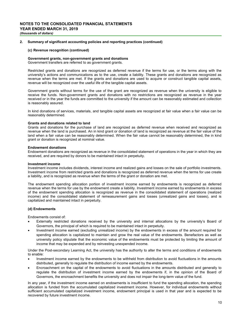#### **(c) Revenue recognition (continued)**

# **Government grants, non-government grants and donations**

Government transfers are referred to as government grants.

Restricted grants and donations are recognized as deferred revenue if the terms for use, or the terms along with the university's actions and communications as to the use, create a liability. These grants and donations are recognized as revenue when the terms are met. If the grants and donations are used to acquire or construct tangible capital assets, revenue will be recognized over the useful life of the tangible capital assets.

Government grants without terms for the use of the grant are recognized as revenue when the university is eligible to receive the funds. Non-government grants and donations with no restrictions are recognized as revenue in the year received or in the year the funds are committed to the university if the amount can be reasonably estimated and collection is reasonably assured.

In kind donations of services, materials, and tangible capital assets are recognized at fair value when a fair value can be reasonably determined.

# **Grants and donations related to land**

Grants and donations for the purchase of land are recognized as deferred revenue when received and recognized as revenue when the land is purchased. An in kind grant or donation of land is recognized as revenue at the fair value of the land when a fair value can be reasonably determined. When the fair value cannot be reasonably determined, the in kind grant or donation is recognized at nominal value.

### **Endowment donations**

Endowment donations are recognized as revenue in the consolidated statement of operations in the year in which they are received, and are required by donors to be maintained intact in perpetuity.

#### **Investment income**

Investment income includes dividends, interest income and realized gains and losses on the sale of portfolio investments. Investment income from restricted grants and donations is recognized as deferred revenue when the terms for use create a liability, and is recognized as revenue when the terms of the grant or donation are met.

The endowment spending allocation portion of investment income earned by endowments is recognized as deferred revenue when the terms for use by the endowment create a liability. Investment income earned by endowments in excess of the endowment spending allocation is recognized as revenue in the consolidated statement of operations (realized income) and the consolidated statement of remeasurement gains and losses (unrealized gains and losses), and is capitalized and maintained intact in perpetuity.

#### **(d) Endowments**

Endowments consist of:

- Externally restricted donations received by the university and internal allocations by the university's Board of Governors, the principal of which is required to be maintained intact in perpetuity.
- Investment income earned (excluding unrealized income) by the endowments in excess of the amount required for spending allocation is capitalized to maintain and grow the real value of the endowments. Benefactors as well as university policy stipulate that the economic value of the endowments must be protected by limiting the amount of income that may be expended and by reinvesting unexpended income.

Under the Post-secondary Learning Act, the university has the authority to alter the terms and conditions of endowments to enable:

- Investment income earned by the endowments to be withheld from distribution to avoid fluctuations in the amounts distributed, generally to regulate the distribution of income earned by the endowments.
- Encroachment on the capital of the endowments to avoid fluctuations in the amounts distributed and generally to regulate the distribution of investment income earned by the endowments if, in the opinion of the Board of Governors, the encroachment benefits the university and does not impair the long-term value of the fund.

In any year, if the investment income earned on endowments is insufficient to fund the spending allocation, the spending allocation is funded from the accumulated capitalized investment income. However, for individual endowments without sufficient accumulated capitalized investment income, endowment principal is used in that year and is expected to be recovered by future investment income.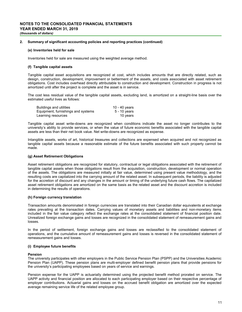#### **(e) Inventories held for sale**

Inventories held for sale are measured using the weighted average method.

### **(f) Tangible capital assets**

Tangible capital asset acquisitions are recognized at cost, which includes amounts that are directly related, such as design, construction, development, improvement or betterment of the assets, and costs associated with asset retirement obligations. Cost includes overhead directly attributable to construction and development. Construction in progress is not amortized until after the project is complete and the asset is in service.

The cost less residual value of the tangible capital assets, excluding land, is amortized on a straight-line basis over the estimated useful lives as follows:

| Buildings and utilities            | 10 - 40 years |
|------------------------------------|---------------|
| Equipment, furnishings and systems | 5 - 10 years  |
| Learning resources                 | 10 years      |

Tangible capital asset write-downs are recognized when conditions indicate the asset no longer contributes to the university's ability to provide services, or when the value of future economic benefits associated with the tangible capital assets are less than their net book value. Net write-downs are recognized as expense.

Intangible assets, works of art, historical treasures and collections are expensed when acquired and not recognized as tangible capital assets because a reasonable estimate of the future benefits associated with such property cannot be made.

# **(g) Asset Retirement Obligations**

Asset retirement obligations are recognized for statutory, contractual or legal obligations associated with the retirement of tangible capital assets when those obligations result from the acquisition, construction, development or normal operation of the assets. The obligations are measured initially at fair value, determined using present value methodology, and the resulting costs are capitalized into the carrying amount of the related asset. In subsequent periods, the liability is adjusted for the accretion of discount and any changes in the amount or timing of the underlying future cash flows. The capitalized asset retirement obligations are amortized on the same basis as the related asset and the discount accretion is included in determining the results of operations.

# **(h) Foreign currency translation**

Transaction amounts denominated in foreign currencies are translated into their Canadian dollar equivalents at exchange rates prevailing at the transaction dates. Carrying values of monetary assets and liabilities and non-monetary items included in the fair value category reflect the exchange rates at the consolidated statement of financial position date. Unrealized foreign exchange gains and losses are recognized in the consolidated statement of remeasurement gains and losses.

In the period of settlement, foreign exchange gains and losses are reclassified to the consolidated statement of operations, and the cumulative amount of remeasurement gains and losses is reversed in the consolidated statement of remeasurement gains and losses.

## **(i) Employee future benefits**

#### **Pension**

The university participates with other employers in the Public Service Pension Plan (PSPP) and the Universities Academic Pension Plan (UAPP). These pension plans are multi-employer defined benefit pension plans that provide pensions for the university's participating employees based on years of service and earnings.

Pension expense for the UAPP is actuarially determined using the projected benefit method prorated on service. The UAPP activity and financial position are allocated to each participating employer based on their respective percentage of employer contributions. Actuarial gains and losses on the accrued benefit obligation are amortized over the expected average remaining service life of the related employee group.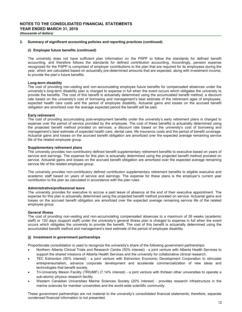#### **(i) Employee future benefits (continued)**

The university does not have sufficient plan information on the PSPP to follow the standards for defined benefit accounting, and therefore follows the standards for defined contribution accounting. Accordingly, pension expense recognized for the PSPP is comprised of employer contributions to the plan that are required for its employees during the year, which are calculated based on actuarially pre-determined amounts that are expected, along with investment income, to provide the plan's future benefits.

#### **Long-term disability**

The cost of providing non-vesting and non-accumulating employee future benefits for compensated absences under the university's long-term disability plan is charged to expense in full when the event occurs which obligates the university to provide the benefits. The cost of this benefit is actuarially determined using the accumulated benefit method, a discount rate based on the university's cost of borrowing and management's best estimate of the retirement ages of employees, expected health care costs and the period of employee disability. Actuarial gains and losses on the accrued benefit obligation are amortized over the average expected period the benefit will be paid.

#### **Early retirement**

The cost of providing accumulating post-employment benefits under the university's early retirement plans is charged to expense over the period of service provided by the employee. The cost of these benefits is actuarially determined using the projected benefit method prorated on services, a discount rate based on the university's cost of borrowing and management's best estimate of expected health care, dental care, life insurance costs and the period of benefit coverage. Actuarial gains and losses on the accrued benefit obligation are amortized over the expected average remaining service life of the related employee group.

### **Supplementary retirement plans**

The university provides non-contributory defined benefit supplementary retirement benefits to executive based on years of service and earnings. The expense for this plan is actuarially determined using the projected benefit method prorated on service. Actuarial gains and losses on the accrued benefit obligation are amortized over the expected average remaining service life of the related employee group.

The university provides non-contributory defined contribution supplementary retirement benefits to eligible executive and academic staff based on years of service and earnings. The expense for these plans is the employer's current year contribution to the plan as calculated in accordance with the plan rules.

#### **Administrative/professional leave**

The university provides for executive to accrue a paid leave of absence at the end of their executive appointment. The expense for this plan is actuarially determined using the projected benefit method prorated on service. Actuarial gains and losses on the accrued benefit obligation are amortized over the expected average remaining service life of the related employee group.

#### **General illness**

The cost of providing non-vesting and non-accumulating compensated absences to a maximum of 26 weeks (academic staff) or 120 days (support staff) under the university's general illness plan is charged to expense in full when the event occurs which obligates the university to provide the benefit. The cost of this benefit is actuarially determined using the accumulated benefit method and management's best estimate of the period of employee disability.

## **(j) Investment in government partnerships**

Proportionate consolidation is used to recognize the university's share of the following government partnerships:

- Northern Alberta Clinical Trials and Research Centre (50% interest) a joint venture with Alberta Health Services to support the shared missions of Alberta Health Services and the university for collaborative clinical research.
- TEC Edmonton (50% interest) a joint venture with Edmonton Economic Development Corporation to stimulate entrepreneurialism, advance corporate development and accelerate commercialization of new ideas and technologies that benefit society.
- Tri-University Meson Facility (TRIUMF) (7.14% interest) a joint venture with thirteen other universities to operate a sub-atomic physics research facility.
- Western Canadian Universities Marine Sciences Society (20% interest) provides research infrastructure in the marine sciences for member universities and the world-wide scientific community.

These government partnerships are not material to the university's consolidated financial statements; therefore, separate condensed financial information is not presented.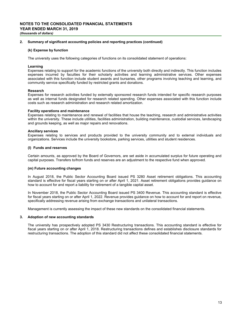### **(k) Expense by function**

The university uses the following categories of functions on its consolidated statement of operations:

#### **Learning**

Expenses relating to support for the academic functions of the university both directly and indirectly. This function includes expenses incurred by faculties for their scholarly activities and learning administrative services. Other expenses associated with this function include student awards and bursaries, other programs involving teaching and learning, and community service specifically funded by restricted grants and donations.

#### **Research**

Expenses for research activities funded by externally sponsored research funds intended for specific research purposes as well as internal funds designated for research related spending. Other expenses associated with this function include costs such as research administration and research related amortization.

### **Facility operations and maintenance**

Expenses relating to maintenance and renewal of facilities that house the teaching, research and administrative activities within the university. These include utilities, facilities administration, building maintenance, custodial services, landscaping and grounds keeping, as well as major repairs and renovations.

### **Ancillary services**

Expenses relating to services and products provided to the university community and to external individuals and organizations. Services include the university bookstore, parking services, utilities and student residences.

### **(l) Funds and reserves**

Certain amounts, as approved by the Board of Governors, are set aside in accumulated surplus for future operating and capital purposes. Transfers to/from funds and reserves are an adjustment to the respective fund when approved.

## **(m) Future accounting changes**

In August 2018, the Public Sector Accounting Board issued PS 3280 Asset retirement obligations. This accounting standard is effective for fiscal years starting on or after April 1, 2021. Asset retirement obligations provides guidance on how to account for and report a liability for retirement of a tangible capital asset.

In November 2018, the Public Sector Accounting Board issued PS 3400 Revenue. This accounting standard is effective for fiscal years starting on or after April 1, 2022. Revenue provides guidance on how to account for and report on revenue, specifically addressing revenue arising from exchange transactions and unilateral transactions.

Management is currently assessing the impact of these new standards on the consolidated financial statements.

# **3. Adoption of new accounting standards**

The university has prospectively adopted PS 3430 Restructuring transactions. This accounting standard is effective for fiscal years starting on or after April 1, 2018. Restructuring transactions defines and establishes disclosure standards for restructuring transactions. The adoption of this standard did not affect these consolidated financial statements.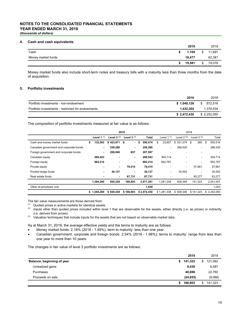# **NOTES TO THE CONSOLIDATED FINANCIAL STATEMENTS YEAR ENDED MARCH 31, 2019** *(thousands of dollars)*

### **4. Cash and cash equivalents**

| . .                | 2019   |               | 2018   |
|--------------------|--------|---------------|--------|
| Cash               | 1,104  | $\mathcal{S}$ | 11,697 |
| Money market funds | 18,477 |               | 62,381 |
|                    | 19,581 | \$            | 74,078 |

Money market funds also include short-term notes and treasury bills with a maturity less than three months from the date of acquisition.

## **5. Portfolio investments**

|                                                   | 2019        | 2018        |
|---------------------------------------------------|-------------|-------------|
| Portfolio investments - non-endowment             | \$1.040.126 | \$ 872.516  |
| Portfolio investments - restricted for endowments | 1.432.304   | 1.379.534   |
|                                                   | \$2,472,430 | \$2.252.050 |

The composition of portfolio investments measured at fair value is as follows:

|                                         |               | 2019           |              |               |              | 2018        |                          |               |  |  |
|-----------------------------------------|---------------|----------------|--------------|---------------|--------------|-------------|--------------------------|---------------|--|--|
|                                         | Level 1 $(1)$ | Level $2(2)$   | Level $3(3)$ | <b>Total</b>  | Level $1(1)$ | Level 2 (2) | Level $3(3)$             | Total         |  |  |
| Cash and money market funds             | 132,503<br>\$ | \$423,971      | \$<br>۰.     | \$<br>556,474 | 23.857<br>\$ | \$531,274   | 385<br>\$.               | 555,516<br>\$ |  |  |
| Canadian government and corporate bonds | ٠             | 259,280        | ٠            | 259,280       | ۰            | 266,520     |                          | 266,520       |  |  |
| Foreign government and corporate bonds  | ٠             | 206,940        | 657          | 207,597       |              |             |                          |               |  |  |
| Canadian equity                         | 289,543       | $\blacksquare$ | ۰            | 289,543       | 304,714      |             | $\overline{\phantom{a}}$ | 304,714       |  |  |
| Foreign equity                          | 962,214       | $\blacksquare$ | ٠            | 962,214       | 952,767      | ٠           | ٠                        | 952,767       |  |  |
| Private equity                          | -             | $\blacksquare$ | 78,415       | 78,415        | ٠            | ۰           | 57.661                   | 57,661        |  |  |
| Pooled hedge funds                      | ٠             | 30,137         | ٠            | 30,137        | ۰            | 30,552      |                          | 30,552        |  |  |
| Real estate funds                       |               | $\blacksquare$ | 87,731       | 87,731        |              |             | 83,277                   | 83,277        |  |  |
|                                         | 1,384,260     | 920,328        | 166,803      | 2,471,391     | 1,281,338    | 828,346     | 141,323                  | 2,251,007     |  |  |
| Other at amortized cost                 |               |                |              | 1,039         |              |             |                          | 1,043         |  |  |
|                                         | \$1,384,260   | \$920,328      | \$166,803    | \$2,472,430   | \$1,281,338  | \$828,346   | \$141.323                | \$2,252,050   |  |  |

The fair value measurements are those derived from:

 $(1)$  Quoted prices in active markets for identical assets.

- (2) Inputs other than quoted prices included within level 1 that are observable for the assets, either directly (i.e. as prices) or indirectly (i.e. derived from prices).
- (3) Valuation techniques that include inputs for the assets that are not based on observable market data.

As at March 31, 2019, the average effective yields and the terms to maturity are as follows:

- Money market funds: 2.18% (2018 1.49%); term to maturity: less than one year.
- Canadian government, corporate and foreign bonds: 2.54% (2018 1.98%); terms to maturity: range from less than one year to more than 10 years.

The changes in fair value of level 3 portfolio investments are as follows:

|                            | 2019          |    | 2018    |
|----------------------------|---------------|----|---------|
| Balance, beginning of year | \$141,323     | \$ | 121,062 |
| Unrealized gains           | 9,439         |    | 6,587   |
| Purchases                  | 40.696        |    | 22,760  |
| Proceeds on sale           | (24, 655)     |    | (9,086) |
|                            | \$<br>166,803 | S  | 141,323 |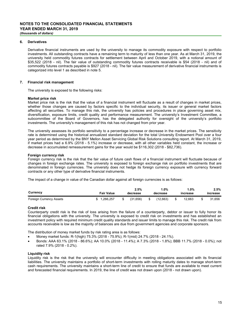# **6. Derivatives**

Derivative financial instruments are used by the university to manage its commodity exposure with respect to portfolio investments. All outstanding contracts have a remaining term to maturity of less than one year. As at March 31, 2019, the university held commodity futures contracts for settlement between April and October 2019, with a notional amount of \$35,522 (2018 - nil). The fair value of outstanding commodity futures contracts receivable is \$54 (2018 - nil) and of commodity futures contracts payable is \$927 (2018 - nil). The fair value measurement of derivative financial instruments is categorized into level 1 as described in note 5.

# **7. Financial risk management**

The university is exposed to the following risks:

### **Market price risk**

Market price risk is the risk that the value of a financial instrument will fluctuate as a result of changes in market prices, whether those changes are caused by factors specific to the individual security, its issuer or general market factors affecting all securities. To manage this risk, the university has policies and procedures in place governing asset mix, diversification, exposure limits, credit quality and performance measurement. The university's Investment Committee, a subcommittee of the Board of Governors, has the delegated authority for oversight of the university's portfolio investments. The university's management of this risk has not changed from prior year.

The university assesses its portfolio sensitivity to a percentage increase or decrease in the market prices. The sensitivity rate is determined using the historical annualized standard deviation for the total University Endowment Pool over a four year period as determined by the BNY Mellon Asset Servicing Global Risk Solutions consulting report. At March 31, 2019, if market prices had a 6.9% (2018 - 5.1%) increase or decrease, with all other variables held constant, the increase or decrease in accumulated remeasurement gains for the year would be \$116,302 (2018 - \$82,736).

# **Foreign currency risk**

Foreign currency risk is the risk that the fair value of future cash flows of a financial instrument will fluctuate because of changes in foreign exchange rates. The university is exposed to foreign exchange risk on portfolio investments that are denominated in foreign currencies. The university does not hedge its foreign currency exposure with currency forward contracts or any other type of derivative financial instruments.

The impact of a change in value of the Canadian dollar against all foreign currencies is as follows:

| Currency                | <b>Fair Value</b> | 2.5%<br>decrease | $.0\%$<br>decrease | $.0\%$<br>increase | 2.5%<br>increase |
|-------------------------|-------------------|------------------|--------------------|--------------------|------------------|
| Foreign Currency Assets | 1,266,257         | (31.656)         | (12.663)           | 12.663             | 31.656           |

# **Credit risk**

Counterparty credit risk is the risk of loss arising from the failure of a counterparty, debtor or issuer to fully honor its financial obligations with the university. The university is exposed to credit risk on investments and has established an investment policy with required minimum credit quality standards and issuer limits to manage this risk. The credit risk from accounts receivable is low as the majority of balances are due from government agencies and corporate sponsors.

The distribution of money market funds by risk rating area is as follows:

- Money market funds: R-1(high) 75.3% (2018 75.9%); R-1(mid) 24.7% (2018 24.1%).
- Bonds: AAA 63.1% (2018 86.6%); AA 10.0% (2018 11.4%); A 7.3% (2018 1.8%); BBB 11.7% (2018 0.0%); not rated 7.9% (2018 - 0.2%).

# **Liquidity risk**

Liquidity risk is the risk that the university will encounter difficulty in meeting obligations associated with its financial liabilities. The university maintains a portfolio of short-term investments with rolling maturity dates to manage short-term cash requirements. The university maintains a short-term line of credit to ensure that funds are available to meet current and forecasted financial requirements. In 2019, the line of credit was not drawn upon (2018 - not drawn upon).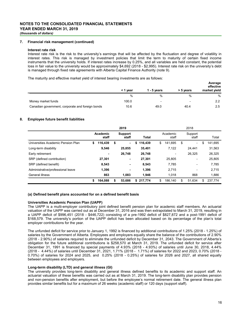## **7. Financial risk management (continued)**

#### **Interest rate risk**

Interest rate risk is the risk to the university's earnings that will be affected by the fluctuation and degree of volatility in interest rates. This risk is managed by investment policies that limit the term to maturity of certain fixed income instruments that the university holds. If interest rates increase by 0.25%, and all variables are held constant, the potential loss in fair value to the university would be approximately \$4,692 (2018 - \$2,995). Interest rate risk on the university's debt is managed through fixed rate agreements with Alberta Capital Finance Authority (note 9).

The maturity and effective market yield of interest bearing investments are as follows:

|                                                  | < 1 vear | 1 - 5 years              | > 5 years | Average<br>effective<br>market yield |
|--------------------------------------------------|----------|--------------------------|-----------|--------------------------------------|
|                                                  | %        | %                        | $\%$      | %                                    |
| Money market funds                               | 100.0    | $\overline{\phantom{a}}$ |           | $2.2\,$                              |
| Canadian government, corporate and foreign bonds | 10.6     | 49.0                     | 40.4      | 2.5                                  |

# **8. Employee future benefit liabilities**

|                                    | 2019 |                   |    |                  |    |         | 2018 |                   |    |                          |    |         |  |  |
|------------------------------------|------|-------------------|----|------------------|----|---------|------|-------------------|----|--------------------------|----|---------|--|--|
|                                    |      | Academic<br>staff |    | Support<br>staff |    | Total   |      | Academic<br>staff |    | Support<br>staff         |    | Total   |  |  |
| Universities Academic Pension Plan | \$   | 116,439           | \$ | ٠                | \$ | 116,439 | \$   | 141.695           | \$ | $\overline{\phantom{a}}$ | \$ | 141,695 |  |  |
| Long-term disability               |      | 9.546             |    | 25.855           |    | 35.401  |      | 7.122             |    | 24.441                   |    | 31,563  |  |  |
| Early retirement                   |      | ۰                 |    | 26.748           |    | 26.748  |      |                   |    | 26.325                   |    | 26,325  |  |  |
| SRP (defined contribution)         |      | 27.301            |    | ٠                |    | 27.301  |      | 25.805            |    | $\overline{\phantom{a}}$ |    | 25,805  |  |  |
| SRP (defined benefit)              |      | 8,543             |    | ۰                |    | 8.543   |      | 7.785             |    | $\overline{\phantom{a}}$ |    | 7,785   |  |  |
| Administrative/professional leave  |      | 1,396             |    | ٠                |    | 1,396   |      | 2.715             |    |                          |    | 2,715   |  |  |
| General illness                    |      | 863               |    | 1.083            |    | 1,946   |      | 1.018             |    | 868                      |    | 1,886   |  |  |
|                                    | \$   | 164,088           | \$ | 53.686           | \$ | 217.774 | \$   | 186.140           | \$ | 51,634                   | \$ | 237.774 |  |  |

# **(a) Defined benefit plans accounted for on a defined benefit basis**

# **Universities Academic Pension Plan (UAPP)**

The UAPP is a multi-employer contributory joint defined benefit pension plan for academic staff members. An actuarial valuation of the UAPP was carried out as at December 31, 2016 and was then extrapolated to March 31, 2019, resulting in a UAPP deficit of \$996,451 (2018 - \$446,722) consisting of a pre-1992 deficit of \$827,872 and a post-1991 deficit of \$168,579. The university's portion of the UAPP deficit has been allocated based on its percentage of the plan's total employer contributions for the year.

The unfunded deficit for service prior to January 1, 1992 is financed by additional contributions of 1.25% (2018 - 1.25%) of salaries by the Government of Alberta. Employees and employers equally share the balance of the contributions of 2.90% (2018 - 2.90%) of salaries required to eliminate the unfunded deficit by December 31, 2043. The Government of Alberta's obligation for the future additional contributions is \$258,570 at March 31, 2019. The unfunded deficit for service after December 31, 1991 is financed by special payments of 4.93% (2018 - 4.93%) of salaries until June 30, 2018, 4.44% (2018 - 4.44%) of salaries until December 31, 2021, 1.71% (2018 - 1.71%) of salaries for 2022 and 2023, 0.70% (2018 - 0.70%) of salaries for 2024 and 2025, and 0.25% (2018 - 0.25%) of salaries for 2026 and 2027, all shared equally between employees and employers.

# **Long-term disability (LTD) and general illness (GI)**

The university provides long-term disability and general illness defined benefits to its academic and support staff. An actuarial valuation of these benefits was carried out as at March 31, 2019. The long-term disability plan provides pension and non-pension benefits after employment, but before the employee's normal retirement date. The general illness plan provides similar benefits but for a maximum of 26 weeks (academic staff) or 120 days (support staff).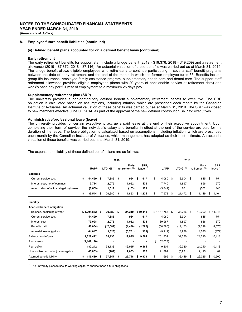## **8. Employee future benefit liabilities (continued)**

# **(a) Defined benefit plans accounted for on a defined benefit basis (continued)**

#### **Early retirement**

The early retirement benefits for support staff include a bridge benefit (2019 - \$19,376; 2018 - \$19,209) and a retirement allowance (2019 - \$7,372; 2018 - \$7,116). An actuarial valuation of these benefits was carried out as at March 31, 2019. The bridge benefit allows eligible employees who retire early to continue participating in several staff benefit programs between the date of early retirement and the end of the month in which the former employee turns 65. Benefits include group life insurance, employee family assistance program, supplementary health care and dental care. The support staff retirement allowance provides eligible employees (those with 20 years of pensionable service at retirement date) one week's base pay per full year of employment to a maximum 25 days pay.

# **Supplementary retirement plan (SRP)**

The university provides a non-contributory defined benefit supplementary retirement benefit to executive. The SRP obligation is calculated based on assumptions, including inflation, which are prescribed each month by the Canadian Institute of Actuaries. An actuarial valuation of these benefits was carried out as at March 31, 2019. The SRP was closed to new members effective June 30, 2014, as part of the approval of the new defined contribution SRP for executives.

#### **Administrative/professional leave (leave)**

The university provides for certain executive to accrue a paid leave at the end of their executive appointment. Upon completing their term of service, the individual's salary and benefits in effect at the end of the service are paid for the duration of the leave. The leave obligation is calculated based on assumptions, including inflation, which are prescribed each month by the Canadian Institute of Actuaries, which management has adopted as their best estimate. An actuarial valuation of these benefits was carried out as at March 31, 2019.

|                                          | 2019 |               |    |                                 |    |                         |    |                     | 2018 |               |      |                       |      |                         |      |                     |  |
|------------------------------------------|------|---------------|----|---------------------------------|----|-------------------------|----|---------------------|------|---------------|------|-----------------------|------|-------------------------|------|---------------------|--|
|                                          |      | <b>UAPP</b>   |    | <b>LTD, GI <math>(1)</math></b> |    | Early<br>retirement (1) |    | SRP,<br>leave $(1)$ |      | <b>UAPP</b>   |      | LTD.GI <sup>(1)</sup> |      | Early<br>retirement (1) |      | SRP.<br>leave $(1)$ |  |
| <b>Expense</b>                           |      |               |    |                                 |    |                         |    |                     |      |               |      |                       |      |                         |      |                     |  |
| Current service cost                     | \$   | 44.499        | \$ | 17,386                          | \$ | 964                     | \$ | 617                 | \$   | 44.080        | - \$ | 18,904                | - \$ | 845                     | - \$ | 754                 |  |
| Interest cost, net of earnings           |      | 3.714         |    | 2.075                           |    | 1.052                   |    | 436                 |      | 7.740         |      | 1.897                 |      | 856                     |      | 570                 |  |
| Amortization of actuarial (gains) losses |      | (8,669)       |    | 1,519                           |    | (163)                   |    | 171                 |      | (3,842)       |      | 671                   |      | (552)                   |      | 140                 |  |
|                                          | \$   | 39,544        | \$ | 20,980                          | \$ | 1,853                   | \$ | 1,224               | \$   | 47,978        | - \$ | 21,472                | - \$ | 1,149                   | \$   | 1,464               |  |
| Liability                                |      |               |    |                                 |    |                         |    |                     |      |               |      |                       |      |                         |      |                     |  |
| <b>Accrued benefit obligation</b>        |      |               |    |                                 |    |                         |    |                     |      |               |      |                       |      |                         |      |                     |  |
| Balance, beginning of year               |      | \$1,201,832   | \$ | 39,380                          | \$ | 24,210                  |    | \$10,418            |      | \$1,147,756   | - \$ | 33,766                | - \$ | 19,202                  | \$   | 14,048              |  |
| Current service cost                     |      | 44,499        |    | 17,386                          |    | 964                     |    | 617                 |      | 44,080        |      | 18,904                |      | 845                     |      | 754                 |  |
| Interest cost                            |      | 73,098        |    | 2,075                           |    | 1,052                   |    | 436                 |      | 69,987        |      | 1,897                 |      | 856                     |      | 570                 |  |
| Benefits paid                            |      | (56,064)      |    | (17,082)                        |    | (1,430)                 |    | (1,785)             |      | (50, 780)     |      | (19, 173)             |      | (1,228)                 |      | (4, 575)            |  |
| Actuarial losses (gains)                 |      | 64,047        |    | (3,623)                         |    | (5,701)                 |    | (122)               |      | (9,211)       |      | 3,986                 |      | 4,535                   |      | (379)               |  |
| Balance, end of year                     |      | 1,327,412     |    | 38,136                          |    | 19,095                  |    | 9,564               |      | 1,201,832     |      | 39,380                |      | 24,210                  |      | 10,418              |  |
| Plan assets                              |      | (1, 147, 170) |    |                                 |    |                         |    | ۰                   |      | (1, 152, 028) |      | ٠                     |      |                         |      |                     |  |
| Plan deficit                             |      | 180,242       |    | 38,136                          |    | 19,095                  |    | 9,564               |      | 49,804        |      | 39,380                |      | 24,210                  |      | 10,418              |  |
| Unamortized actuarial (losses) gains     |      | (63, 803)     |    | (789)                           |    | 7,653                   |    | 375                 |      | 91,891        |      | (5,931)               |      | 2,115                   |      | 82                  |  |
| Accrued benefit liability                | \$   | 116,439       | \$ | 37,347                          | \$ | 26,748                  | \$ | 9,939               | \$   | 141,695       | \$   | 33,449                | \$   | 26,325                  | \$   | 10,500              |  |

The expense and liability of these defined benefit plans are as follows:

 $<sup>(1)</sup>$  The university plans to use its working capital to finance these future obligations.</sup>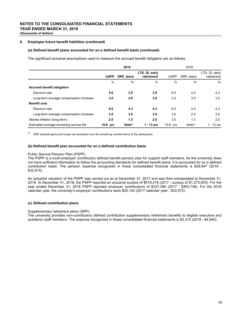# **8. Employee future benefit liabilities (continued)**

## **(a) Defined benefit plans accounted for on a defined benefit basis (continued)**

The significant actuarial assumptions used to measure the accrued benefit obligation are as follows:

|                                          |               | 2019                |                              |             |                     |                              |
|------------------------------------------|---------------|---------------------|------------------------------|-------------|---------------------|------------------------------|
|                                          | <b>UAPP</b>   | SRP, leave          | LTD, GI, early<br>retirement | <b>UAPP</b> | SRP, leave          | LTD, GI, early<br>retirement |
|                                          | $\frac{0}{0}$ | %                   | $\%$                         | $\%$        | $\%$                | $\%$                         |
| <b>Accrued benefit obligation</b>        |               |                     |                              |             |                     |                              |
| Discount rate                            | 5.6           | 3.9                 | 3.9                          | 6.0         | 4.3                 | 4.3                          |
| Long-term average compensation increase  | 3.0           | 3.0                 | 3.0                          | 3.0         | 3.0                 | 3.0                          |
| <b>Benefit cost</b>                      |               |                     |                              |             |                     |                              |
| Discount rate                            | 6.0           | 4.3                 | 4.3                          | 6.0         | 4.4                 | 4.3                          |
| Long-term average compensation increase  | 3.0           | 3.0                 | 3.0                          | 3.0         | 2.0                 | 3.0                          |
| Alberta inflation (long-term)            | 2.0           | 1.5                 | 2.0                          | 2.0         | 1.3                 | 2.0                          |
| Estimated average remaining service life | 10.6 yrs      | Note <sup>(1)</sup> | $1 - 13$ yrs                 | 10.6 yrs    | Note <sup>(1)</sup> | $1 - 13$ yrs                 |

 $(1)$  SRP actuarial gains and losses are amortized over the remaining contract terms of the participants.

#### **(b) Defined benefit plan accounted for on a defined contribution basis**

#### Public Service Pension Plan (PSPP)

The PSPP is a multi-employer contributory defined benefit pension plan for support staff members. As the university does not have sufficient information to follow the accounting standards for defined benefit plans, it is accounted for on a defined contribution basis. The pension expense recognized in these consolidated financial statements is \$29,947 (2018 - \$32,915).

An actuarial valuation of the PSPP was carried out as at December 31, 2017 and was then extrapolated to December 31, 2018. At December 31, 2018, the PSPP reported an actuarial surplus of \$519,218 (2017 - surplus of \$1,275,843). For the year ended December 31, 2018 PSPP reported employer contributions of \$337,390 (2017 - \$363,748). For the 2018 calendar year, the university's employer contributions were \$30,142 (2017 calendar year - \$33,572).

#### **(c) Defined contribution plans**

#### Supplementary retirement plans (SRP)

The university provides non-contributory defined contribution supplementary retirement benefits to eligible executive and academic staff members. The expense recognized in these consolidated financial statements is \$3,315 (2018 - \$4,940).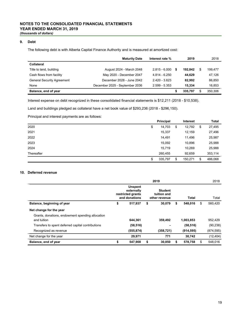# **9. Debt**

The following debt is with Alberta Capital Finance Authority and is measured at amortized cost:

|                                   | <b>Maturity Date</b>           | Interest rate % |   | 2019    | 2018    |
|-----------------------------------|--------------------------------|-----------------|---|---------|---------|
| Collateral                        |                                |                 |   |         |         |
| Title to land, building           | August 2024 - March 2048       | $2.815 - 6.000$ | S | 192.842 | 199,477 |
| Cash flows from facility          | May 2020 - December 2047       | $4.814 - 6.250$ |   | 44.629  | 47,126  |
| <b>General Security Agreement</b> | December 2028 - June 2042      | $2.420 - 3.623$ |   | 82.992  | 86,850  |
| None                              | December 2025 - September 2036 | $2.599 - 5.353$ |   | 15.334  | 16,853  |
| Balance, end of year              |                                |                 |   | 335,797 | 350.306 |

Interest expense on debt recognized in these consolidated financial statements is \$12,211 (2018 - \$10,538).

Land and buildings pledged as collateral have a net book value of \$293,236 (2018 - \$296,150).

Principal and interest payments are as follows:

|            | <b>Principal</b> | <b>Interest</b> | Total         |
|------------|------------------|-----------------|---------------|
| 2020       | \$<br>14,703     | \$<br>12,792    | \$<br>27,495  |
| 2021       | 15,337           | 12,159          | 27,496        |
| 2022       | 14,491           | 11,496          | 25,987        |
| 2023       | 15,092           | 10,896          | 25,988        |
| 2024       | 15.719           | 10,269          | 25,988        |
| Thereafter | 260.455          | 92,659          | 353,114       |
|            | \$<br>335,797    | \$<br>150,271   | \$<br>486,068 |

# **10. Deferred revenue**

|                                                   |                                                                    | 2019                                           |               |    | 2018       |
|---------------------------------------------------|--------------------------------------------------------------------|------------------------------------------------|---------------|----|------------|
|                                                   | <b>Unspent</b><br>externally<br>restricted grants<br>and donations | <b>Student</b><br>tuition and<br>other revenue | Total         |    | Total      |
| Balance, beginning of year                        | \$<br>517,937                                                      | \$<br>30,079                                   | \$<br>548.016 | \$ | 560,420    |
| Net change for the year                           |                                                                    |                                                |               |    |            |
| Grants, donations, endowment spending allocation  |                                                                    |                                                |               |    |            |
| and tuition                                       | 644,361                                                            | 359,492                                        | 1,003,853     |    | 952,429    |
| Transfers to spent deferred capital contributions | (58, 516)                                                          |                                                | (58, 516)     |    | (90, 238)  |
| Recognized as revenue                             | (555, 874)                                                         | (358, 721)                                     | (914, 595)    |    | (874, 595) |
| Net change for the year                           | 29,971                                                             | 771                                            | 30.742        |    | (12, 404)  |
| Balance, end of year                              | \$<br>547,908                                                      | \$<br>30,850                                   | \$<br>578,758 | S  | 548.016    |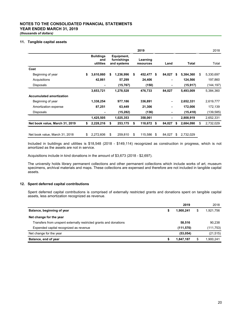# **NOTES TO THE CONSOLIDATED FINANCIAL STATEMENTS YEAR ENDED MARCH 31, 2019**

*(thousands of dollars)*

# **11. Tangible capital assets**

|                                 |                                      |                                          |    | 2019                  |      |        |                 | 2018            |
|---------------------------------|--------------------------------------|------------------------------------------|----|-----------------------|------|--------|-----------------|-----------------|
|                                 | <b>Buildings</b><br>and<br>utilities | Equipment,<br>furnishings<br>and systems |    | Learning<br>resources |      | Land   | Total           | Total           |
| Cost                            |                                      |                                          |    |                       |      |        |                 |                 |
| Beginning of year               | \$<br>3,610,860                      | \$<br>1,236,996                          | \$ | 452,477               | \$   | 84,027 | \$<br>5,384,360 | \$<br>5,330,697 |
| Acquisitions                    | 42,861                               | 57,299                                   |    | 24,406                |      |        | 124,566         | 197,860         |
| Disposals                       |                                      | (15, 767)                                |    | (150)                 |      | ۰      | (15, 917)       | (144, 197)      |
|                                 | 3,653,721                            | 1,278,528                                |    | 476,733               |      | 84,027 | 5,493,009       | 5,384,360       |
| <b>Accumulated amortization</b> |                                      |                                          |    |                       |      |        |                 |                 |
| Beginning of year               | 1,338,254                            | 977,186                                  |    | 336,891               |      | ٠      | 2,652,331       | 2,619,777       |
| Amortization expense            | 87,251                               | 63,449                                   |    | 21,306                |      | ٠      | 172,006         | 172,139         |
| Disposals                       |                                      | (15, 282)                                |    | (136)                 |      |        | (15, 418)       | (139, 585)      |
|                                 | 1,425,505                            | 1,025,353                                |    | 358,061               |      | ۰.     | 2,808,919       | 2,652,331       |
| Net book value, March 31, 2019  | \$<br>2,228,216                      | \$<br>253,175                            | S  | 118,672               | - \$ | 84,027 | \$<br>2,684,090 | \$<br>2,732,029 |
|                                 |                                      |                                          |    |                       |      |        |                 |                 |
| Net book value, March 31, 2018  | 2,272,606                            | \$<br>259,810                            | \$ | 115,586               | \$   | 84,027 | \$<br>2,732,029 |                 |

Included in buildings and utilities is \$18,548 (2018 - \$149,114) recognized as construction in progress, which is not amortized as the assets are not in service.

Acquisitions include in kind donations in the amount of \$3,673 (2018 - \$2,697).

The university holds library permanent collections and other permanent collections which include works of art, museum specimens, archival materials and maps. These collections are expensed and therefore are not included in tangible capital assets.

# **12. Spent deferred capital contributions**

Spent deferred capital contributions is comprised of externally restricted grants and donations spent on tangible capital assets, less amortization recognized as revenue.

|                                                                   |   | 2019      | 2018            |
|-------------------------------------------------------------------|---|-----------|-----------------|
| Balance, beginning of year                                        | S | 1,900,241 | \$<br>1,921,756 |
| Net change for the year                                           |   |           |                 |
| Transfers from unspent externally restricted grants and donations |   | 58,516    | 90,238          |
| Expended capital recognized as revenue                            |   | (111,570) | (111,753)       |
| Net change for the year                                           |   | (53,054)  | (21, 515)       |
| Balance, end of year                                              | S | 1,847,187 | \$<br>1,900,241 |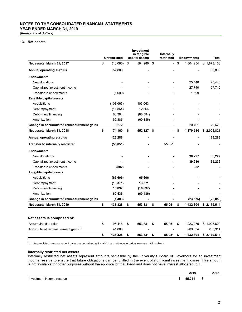# **NOTES TO THE CONSOLIDATED FINANCIAL STATEMENTS YEAR ENDED MARCH 31, 2019**

*(thousands of dollars)*

# **13. Net assets**

|                                           | <b>Unrestricted</b> | <b>Investment</b><br>in tangible<br>capital assets | Internally<br>restricted |      | <b>Endowments</b> |             | <b>Total</b> |
|-------------------------------------------|---------------------|----------------------------------------------------|--------------------------|------|-------------------|-------------|--------------|
| Net assets, March 31, 2017                | \$<br>(16,066)      | \$<br>584,980 \$                                   | $\overline{\phantom{0}}$ | \$   | 1,304,254         | \$1,873,168 |              |
| <b>Annual operating surplus</b>           | 52,800              |                                                    |                          |      |                   | 52,800      |              |
| <b>Endowments</b>                         |                     |                                                    |                          |      |                   |             |              |
| New donations                             |                     |                                                    |                          |      | 25,440            | 25,440      |              |
| Capitalized investment income             |                     |                                                    |                          |      | 27,740            | 27,740      |              |
| Transfer to endowments                    | (1,699)             |                                                    |                          |      | 1,699             |             |              |
| Tangible capital assets                   |                     |                                                    |                          |      |                   |             |              |
| Acquisitions                              | (103,063)           | 103,063                                            |                          |      |                   |             |              |
| Debt repayment                            | (12, 864)           | 12,864                                             |                          |      |                   |             |              |
| Debt - new financing                      | 88,394              | (88, 394)                                          |                          |      |                   |             |              |
| Amortization                              | 60,386              | (60, 386)                                          |                          |      |                   |             |              |
| Change in accumulated remeasurement gains | 6,272               |                                                    |                          |      | 20,401            | 26,673      |              |
| Net assets, March 31, 2018                | \$<br>74,160        | \$<br>552,127 \$                                   |                          | - \$ | 1,379,534         | \$2,005,821 |              |
| Annual operating surplus                  | 123,288             |                                                    |                          |      |                   | 123,288     |              |
| <b>Transfer to internally restricted</b>  | (55,051)            |                                                    | 55,051                   |      |                   |             |              |
| <b>Endowments</b>                         |                     |                                                    |                          |      |                   |             |              |
| New donations                             | ٠                   |                                                    |                          |      | 36,227            | 36,227      |              |
| Capitalized investment income             |                     |                                                    |                          |      | 39,236            | 39,236      |              |
| Transfer to endowments                    | (882)               |                                                    |                          |      | 882               |             |              |
| <b>Tangible capital assets</b>            |                     |                                                    |                          |      |                   |             |              |
| Acquisitions                              | (65, 606)           | 65,606                                             |                          |      |                   |             |              |
| Debt repayment                            | (13, 371)           | 13,371                                             |                          |      |                   |             |              |
| Debt - new financing                      | 16,837              | (16, 837)                                          |                          |      |                   |             |              |
| Amortization                              | 60,436              | (60, 436)                                          |                          |      |                   |             |              |
| Change in accumulated remeasurement gains | (1, 483)            |                                                    |                          |      | (23, 575)         | (25,058)    |              |
| Net assets, March 31, 2019                | \$<br>138,328       | \$<br>553,831 \$                                   | 55,051                   | \$   | 1,432,304         | \$2,179,514 |              |
|                                           |                     |                                                    |                          |      |                   |             |              |
| Net assets is comprised of:               |                     |                                                    |                          |      |                   |             |              |
| Accumulated surplus                       | \$<br>96,448        | \$<br>553,831 \$                                   | 55,051 \$                |      | 1,223,270         | \$1,928,600 |              |
| Accumulated remeasurement gains (1)       | 41,880              |                                                    |                          |      | 209,034           | 250,914     |              |
|                                           | \$<br>138,328       | \$<br>553,831                                      | \$<br>55,051             | \$   | 1,432,304         | \$2,179,514 |              |

(1) Accumulated remeasurement gains are unrealized gains which are not recognized as revenue until realized.

# **Internally restricted net assets**

Internally restricted net assets represent amounts set aside by the university's Board of Governors for an investment income reserve to ensure that future obligations can be fulfilled in the event of significant investment losses. This amount is not available for other purposes without the approval of the Board and does not have interest allocated to it.

|                           | 2019   |   | 2018 |
|---------------------------|--------|---|------|
| Investment income reserve | 55.051 | ັ | -    |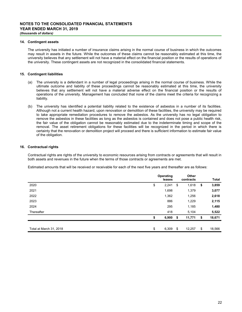## **14. Contingent assets**

The university has initiated a number of insurance claims arising in the normal course of business in which the outcomes may result in assets in the future. While the outcomes of these claims cannot be reasonably estimated at this time, the university believes that any settlement will not have a material effect on the financial position or the results of operations of the university. These contingent assets are not recognized in the consolidated financial statements.

# **15. Contingent liabilities**

- (a) The university is a defendant in a number of legal proceedings arising in the normal course of business. While the ultimate outcome and liability of these proceedings cannot be reasonably estimated at this time, the university believes that any settlement will not have a material adverse effect on the financial position or the results of operations of the university. Management has concluded that none of the claims meet the criteria for recognizing a liability.
- (b) The university has identified a potential liability related to the existence of asbestos in a number of its facilities. Although not a current health hazard, upon renovation or demolition of these facilities, the university may be required to take appropriate remediation procedures to remove the asbestos. As the university has no legal obligation to remove the asbestos in these facilities as long as the asbestos is contained and does not pose a public health risk, the fair value of the obligation cannot be reasonably estimated due to the indeterminate timing and scope of the removal. The asset retirement obligations for these facilities will be recognized in the period in which there is certainty that the renovation or demolition project will proceed and there is sufficient information to estimate fair value of the obligation.

# **16. Contractual rights**

Contractual rights are rights of the university to economic resources arising from contracts or agreements that will result in both assets and revenues in the future when the terms of those contracts or agreements are met.

Estimated amounts that will be received or receivable for each of the next five years and thereafter are as follows:

|                         | Operating<br>leases |     | Other<br>contracts | Total        |
|-------------------------|---------------------|-----|--------------------|--------------|
| 2020                    | \$<br>2,241         | \$  | 1,618              | \$<br>3,859  |
| 2021                    | 1,698               |     | 1,379              | 3,077        |
| 2022                    | 1,362               |     | 1,256              | 2,618        |
| 2023                    | 886                 |     | 1,229              | 2,115        |
| 2024                    | 295                 |     | 1,185              | 1,480        |
| Thereafter              | 418                 |     | 5,104              | 5,522        |
|                         | \$<br>6,900         | \$  | 11,771             | \$<br>18,671 |
|                         |                     |     |                    |              |
| Total at March 31, 2018 | \$<br>6,309         | -\$ | 12,257             | \$<br>18,566 |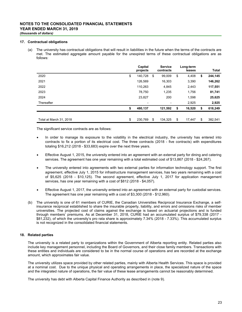### **17. Contractual obligations**

(a) The university has contractual obligations that will result in liabilities in the future when the terms of the contracts are met. The estimated aggregate amount payable for the unexpired terms of these contractual obligations are as follows:

|                         | Capital<br>projects      | <b>Service</b><br>contracts | Long-term<br>leases |    | Total   |
|-------------------------|--------------------------|-----------------------------|---------------------|----|---------|
| 2020                    | \$<br>140,728            | \$<br>99,009                | \$<br>4,408         | \$ | 244,145 |
| 2021                    | 126,569                  | 16,303                      | 3,390               |    | 146,262 |
| 2022                    | 110,263                  | 4,845                       | 2,443               |    | 117,551 |
| 2023                    | 78,750                   | 1,235                       | 1,756               |    | 81,741  |
| 2024                    | 23,827                   | 200                         | 1,598               |    | 25,625  |
| Thereafter              | $\overline{\phantom{0}}$ | $\overline{\phantom{a}}$    | 2,925               |    | 2,925   |
|                         | \$<br>480,137            | 121,592                     | \$<br>16,520        | \$ | 618,249 |
|                         |                          |                             |                     |    |         |
| Total at March 31, 2018 | \$<br>230.769            | \$<br>134.325               | \$<br>17.447        | S. | 382.541 |

The significant service contracts are as follows:

- In order to manage its exposure to the volatility in the electrical industry, the university has entered into contracts to fix a portion of its electrical cost. The three contracts (2018 - five contracts) with expenditures totaling \$16,212 (2018 - \$33,683) expire over the next three years.
- Effective August 1, 2015, the university entered into an agreement with an external party for dining and catering services. The agreement has one year remaining with a total estimated cost of \$13,867 (2018 - \$24,267).
- The university entered into agreements with two external parties for information technology support. The first agreement, effective July 1, 2015 for infrastructure management services, has two years remaining with a cost of \$5,625 (2018 - \$10,125). The second agreement, effective July 1, 2017 for application management services, has one year remaining with a cost of \$812 (2018 - \$4,057).
- Effective August 1, 2017, the university entered into an agreement with an external party for custodial services. The agreement has one year remaining with a cost of \$3,300 (2018 - \$12,960).
- (b) The university is one of 61 members of CURIE, the Canadian Universities Reciprocal Insurance Exchange, a selfinsurance reciprocal established to share the insurable property, liability, and errors and omissions risks of member universities. The projected cost of claims against the exchange is based on actuarial projections and is funded through members' premiums. As at December 31, 2018, CURIE had an accumulated surplus of \$79,338 (2017 - \$81,232), of which the university's pro rata share is approximately 7.34% (2018 - 7.33%). This accumulated surplus is not recognized in the consolidated financial statements.

# **18. Related parties**

The university is a related party to organizations within the Government of Alberta reporting entity. Related parties also include key management personnel, including the Board of Governors, and their close family members. Transactions with these entities and individuals are considered to be in the normal course of operations and are recorded at the exchange amount, which approximates fair value.

The university utilizes space provided by other related parties, mainly with Alberta Health Services. This space is provided at a nominal cost. Due to the unique physical and operating arrangements in place, the specialized nature of the space and the integrated nature of operations, the fair value of these lease arrangements cannot be reasonably determined.

The university has debt with Alberta Capital Finance Authority as described in (note 9).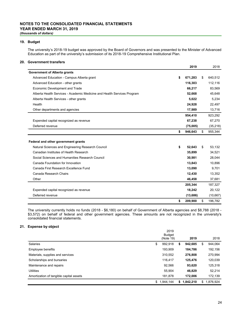# **NOTES TO THE CONSOLIDATED FINANCIAL STATEMENTS YEAR ENDED MARCH 31, 2019** *(thousands of dollars)*

# **19. Budget**

The university's 2018-19 budget was approved by the Board of Governors and was presented to the Minister of Advanced Education as part of the university's submission of its 2018-19 Comprehensive Institutional Plan.

# **20. Government transfers**

|                                                                         | 2019          | 2018          |
|-------------------------------------------------------------------------|---------------|---------------|
| <b>Government of Alberta grants</b>                                     |               |               |
| Advanced Education - Campus Alberta grant                               | \$<br>671,283 | \$<br>640,512 |
| Advanced Education - other grants                                       | 116,303       | 112,116       |
| Economic Development and Trade                                          | 66,217        | 83.569        |
| Alberta Health Services - Academic Medicine and Health Services Program | 52,668        | 45,648        |
| Alberta Health Services - other grants                                  | 5,022         | 5,234         |
| Health                                                                  | 24,928        | 22,497        |
| Other departments and agencies                                          | 17,989        | 13,716        |
|                                                                         | 954,410       | 923,292       |
| Expended capital recognized as revenue                                  | 67,238        | 67,270        |
| Deferred revenue                                                        | (75,005)      | (35, 218)     |
|                                                                         | \$<br>946,643 | \$<br>955,344 |
| Federal and other government grants                                     |               |               |
| Natural Sciences and Engineering Research Council                       | \$<br>52,643  | \$<br>53,132  |
| Canadian Institutes of Health Research                                  | 35,899        | 34,521        |
| Social Sciences and Humanities Research Council                         | 30,981        | 28,044        |
| Canada Foundation for Innovation                                        | 13,843        | 10,896        |
| Canada First Research Excellence Fund                                   | 13,090        | 9,701         |
| Canada Research Chairs                                                  | 12,430        | 13,352        |
| Other                                                                   | 46,458        | 37,681        |
|                                                                         | 205,344       | 187,327       |
| Expended capital recognized as revenue                                  | 18,242        | 20,122        |
| Deferred revenue                                                        | (13,686)      | (10, 667)     |
|                                                                         | \$<br>209,900 | \$<br>196,782 |

The university currently holds no funds (2018 - \$6,180) on behalf of Government of Alberta agencies and \$8,788 (2018 - \$3,572) on behalf of federal and other government agencies. These amounts are not recognized in the university's consolidated financial statements.

# **21. Expense by object**

|                                         | 2019<br><b>Budget</b> |               |    |           |
|-----------------------------------------|-----------------------|---------------|----|-----------|
|                                         | (Note 19)             | 2019          |    | 2018      |
| <b>Salaries</b>                         | \$<br>992,918         | \$<br>942.685 | S  | 944,064   |
| Employee benefits                       | 193,909               | 184.786       |    | 192,156   |
| Materials, supplies and services        | 310.552               | 276,808       |    | 270,994   |
| Scholarships and bursaries              | 116.417               | 125.476       |    | 120,039   |
| Maintenance and repairs                 | 92,566                | 93,620        |    | 125,318   |
| <b>Utilities</b>                        | 55,904                | 46.829        |    | 52,214    |
| Amortization of tangible capital assets | 181.878               | 172.006       |    | 172,139   |
|                                         | \$<br>1,944,144       | \$1,842,210   | \$ | 1,876,924 |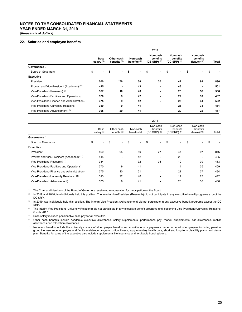# **NOTES TO THE CONSOLIDATED FINANCIAL STATEMENTS YEAR ENDED MARCH 31, 2019**

*(thousands of dollars)*

# **22. Salaries and employee benefits**

|                                             |    |                                                             |    |                            |    |                                        |    | 2019                                   |    |                                        |    |                          |     |
|---------------------------------------------|----|-------------------------------------------------------------|----|----------------------------|----|----------------------------------------|----|----------------------------------------|----|----------------------------------------|----|--------------------------|-----|
|                                             |    | <b>Base</b><br>Other cash<br>salary $(5)$<br>benefits $(6)$ |    | Non-cash<br>benefits $(7)$ |    | Non-cash<br>benefits<br>(DB SRP) $(8)$ |    | Non-cash<br>benefits<br>(DC SRP) $(9)$ |    | Non-cash<br>benefits<br>(leave) $(10)$ |    | Total                    |     |
| Governance (1)                              |    |                                                             |    |                            |    |                                        |    |                                        |    |                                        |    |                          |     |
| <b>Board of Governors</b>                   | \$ |                                                             | \$ | ٠                          | \$ | $\blacksquare$                         | \$ | $\blacksquare$                         | \$ | ۰                                      | \$ |                          |     |
| <b>Executive</b>                            |    |                                                             |    |                            |    |                                        |    |                                        |    |                                        |    |                          |     |
| President                                   |    | 500                                                         |    | 170                        |    | 50                                     |    | 30                                     |    | 47                                     |    | 99                       | 896 |
| Provost and Vice-President (Academic) (11)  |    | 415                                                         |    | $\overline{\phantom{a}}$   |    | 43                                     |    | ٠                                      |    | 43                                     |    | $\overline{\phantom{a}}$ | 501 |
| Vice-President (Research) (2)               |    | 367                                                         |    | 10                         |    | 46                                     |    | $\blacksquare$                         |    | 25                                     |    | 58                       | 506 |
| Vice-President (Facilities and Operations)  |    | 370                                                         |    | 9                          |    | 42                                     |    | $\blacksquare$                         |    | 27                                     |    | 39                       | 487 |
| Vice-President (Finance and Administration) |    | 375                                                         |    | 9                          |    | 52                                     |    | $\blacksquare$                         |    | 25                                     |    | 41                       | 502 |
| Vice-President (University Relations)       |    | 350                                                         |    | 9                          |    | 41                                     |    | $\blacksquare$                         |    | 26                                     |    | 35                       | 461 |
| Vice-President (Advancement) (3)            |    | 305                                                         |    | 29                         |    | 41                                     |    | $\overline{\phantom{a}}$               |    | 20                                     |    | 22                       | 417 |

|                                             | 2018                 |     |                              |                          |                            |                          |                                             |                          |                                        |    |                                          |                          |    |       |
|---------------------------------------------|----------------------|-----|------------------------------|--------------------------|----------------------------|--------------------------|---------------------------------------------|--------------------------|----------------------------------------|----|------------------------------------------|--------------------------|----|-------|
|                                             | Base<br>salary $(5)$ |     | Other cash<br>benefits $(6)$ |                          | Non-cash<br>benefits $(7)$ |                          | Non-cash<br>benefits<br>$(DB$ SRP $)$ $(8)$ |                          | Non-cash<br>benefits<br>(DC SRP) $(9)$ |    | Non-cash<br>benefits<br>$(leave)$ $(10)$ |                          |    | Total |
| Governance (1)                              |                      |     |                              |                          |                            |                          |                                             |                          |                                        |    |                                          |                          |    |       |
| <b>Board of Governors</b>                   | \$                   | ۰   | \$                           | $\sim$                   | \$                         | $\overline{\phantom{a}}$ | \$                                          | $\overline{\phantom{a}}$ | \$                                     | ۰  | \$                                       |                          | \$ |       |
| <b>Executive</b>                            |                      |     |                              |                          |                            |                          |                                             |                          |                                        |    |                                          |                          |    |       |
| President                                   |                      | 500 |                              | 95                       |                            | 50                       |                                             | 27                       |                                        | 47 |                                          | 97                       |    | 816   |
| Provost and Vice-President (Academic) (11)  |                      | 415 |                              | $\overline{\phantom{a}}$ |                            | 42                       |                                             |                          |                                        | 28 |                                          | $\overline{\phantom{a}}$ |    | 485   |
| Vice-President (Research) (2)               |                      | 334 |                              | ٠                        |                            | 32                       |                                             | 36                       |                                        | 12 |                                          | 39                       |    | 453   |
| Vice-President (Facilities and Operations)  |                      | 370 |                              | 9                        |                            | 41                       |                                             | ٠                        |                                        | 14 |                                          | 35                       |    | 469   |
| Vice-President (Finance and Administration) |                      | 375 |                              | 10                       |                            | 51                       |                                             | ۰                        |                                        | 21 |                                          | 37                       |    | 494   |
| Vice-President (University Relations) (4)   |                      | 313 |                              | 22                       |                            | 40                       |                                             | $\overline{\phantom{a}}$ |                                        | 14 |                                          | 23                       |    | 412   |
| Vice-President (Advancement)                |                      | 375 |                              | 9                        |                            | 41                       |                                             | ٠                        |                                        | 26 |                                          | 35                       |    | 486   |

(1) The Chair and Members of the Board of Governors receive no remuneration for participation on the Board.

(2) In 2019 and 2018, two individuals held this position. The interim Vice-President (Research) did not participate in any executive benefit programs except the DC SRP.

(3) In 2019, two individuals held this position. The interim Vice-President (Advancement) did not participate in any executive benefit programs except the DC SRP.

(4) The interim Vice-President (University Relations) did not participate in any executive benefit programs until becoming Vice-President (University Relations) in July 2017.

(5) Base salary includes pensionable base pay for all executive.

(6) Other cash benefits include academic executive allowances, salary supplements, performance pay, market supplements, car allowances, mobile allowances and relocation allowances.

(7) Non-cash benefits include the university's share of all employee benefits and contributions or payments made on behalf of employees including pension, group life insurance, employee and family assistance program, critical illness, supplementary health care, short and long-term disability plans, and dental plan. Benefits for some of the executive also include supplemental life insurance and forgivable housing loans.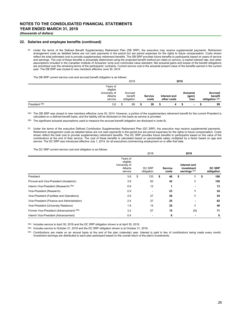#### **22. Salaries and employee benefits (continued)**

<sup>(8)</sup> Under the terms of the Defined Benefit Supplementary Retirement Plan (DB SRP), the executive may receive supplemental payments. Retirement arrangement costs as detailed below are not cash payments in the period but are period expenses for the rights to future compensation. Costs shown reflect the total estimated cost to provide supplementary retirement benefits. The DB SRP provides future benefits to participants based on years of service and earnings. The cost of these benefits is actuarially determined using the projected benefit method pro rated on service, a market interest rate, and other assumptions included in the Canadian Institute of Actuaries' lump sum commuted value standard. Net actuarial gains and losses of the benefit obligations are amortized over the remaining terms of the participants' contracts. Current service cost is the actuarial present value of the benefits earned in the current year. The DB SRP was closed to new members effective June 30, 2014.

The DB SRP current service cost and accrued benefit obligation is as follows:

|                |                                                             | 2018                             |                  |                             | 2019 |                                    |  |                                       |  |
|----------------|-------------------------------------------------------------|----------------------------------|------------------|-----------------------------|------|------------------------------------|--|---------------------------------------|--|
|                | Years of<br>eligible<br>University of<br>Alberta<br>service | Accrued<br>benefit<br>obligation | Service<br>costs | Interest and<br>other costs |      | <b>Actuarial</b><br>(gain)<br>loss |  | Accrued<br>benefit<br>obligation (8b) |  |
| President (8a) | 3.8                                                         | \$<br>69                         | 26               |                             |      | $\overline{\phantom{a}}$           |  | 99                                    |  |

(8a) The DB SRP was closed to new members effective June 30, 2014. However, a portion of the supplementary retirement benefit for the current President is calculated on a defined benefit basis, and the liability will be disclosed on this basis as service is provided.

(8b) The significant actuarial assumptions used to measure the accrued benefit obligation are disclosed in (note 8).

(9) Under the terms of the executive Defined Contribution Supplementary Retirement Plan (DC SRP), the executive may receive supplemental payments. Retirement arrangement costs as detailed below are not cash payments in the period but are period expenses for the rights to future compensation. Costs shown reflect the total cost to provide supplementary retirement benefits. The DC SRP provides future benefits to participants based on the value of the contributions at the end of their service. The cost of these benefits is calculated based on pensionable salary multiplied by a factor based on age and service. The DC SRP was introduced effective July 1, 2014, for all executives commencing employment on or after that date.

The DC SRP current service cost and obligation is as follows:

|                                             |                                                             | 2018                 |                         | 2019 |                                             |    |                             |
|---------------------------------------------|-------------------------------------------------------------|----------------------|-------------------------|------|---------------------------------------------|----|-----------------------------|
|                                             | Years of<br>eligible<br>University of<br>Alberta<br>service | DC SRP<br>obligation | <b>Service</b><br>costs |      | Interest and<br>investment<br>earnings (9c) |    | <b>DC SRP</b><br>obligation |
| President                                   | 3.8                                                         | \$<br>133            | 46                      |      |                                             | \$ | 180                         |
| Provost and Vice-President (Academic)       | 3.8                                                         | 83                   | 42                      |      |                                             |    | 126                         |
| Interim Vice-President (Research) (9a)      | 0.8                                                         | 12                   |                         |      |                                             |    | 13                          |
| Vice-President (Research)                   | 0.9                                                         | ٠                    | 23                      |      |                                             |    | 24                          |
| Vice-President (Facilities and Operations)  | 2.6                                                         | 27                   | 26                      |      |                                             |    | 54                          |
| Vice-President (Finance and Administration) | 2.4                                                         | 37                   | 25                      |      |                                             |    | 62                          |
| Vice-President (University Relations)       | 1.8                                                         | 14                   | 25                      |      |                                             |    | 40                          |
| Former Vice-President (Advancement) (9b)    | 3.2                                                         | 57                   | 15                      |      | (1)                                         |    | 71                          |
| Interim Vice-President (Advancement)        | 0.4                                                         |                      | 6                       |      |                                             |    | 6                           |

(9a) Includes service to April 30, 2018 and the DC SRP obligation shown is at April 30, 2018.

(9b) Includes service to October 31, 2018 and the DC SRP obligation shown is at October 31, 2018.

(9c) Contributions are made on an annual basis at the end of the plan (calendar) year. Interest is paid in lieu of contributions being made every month. Investment earnings are distributed to each plan participant based on the overall return of the plan's investments.